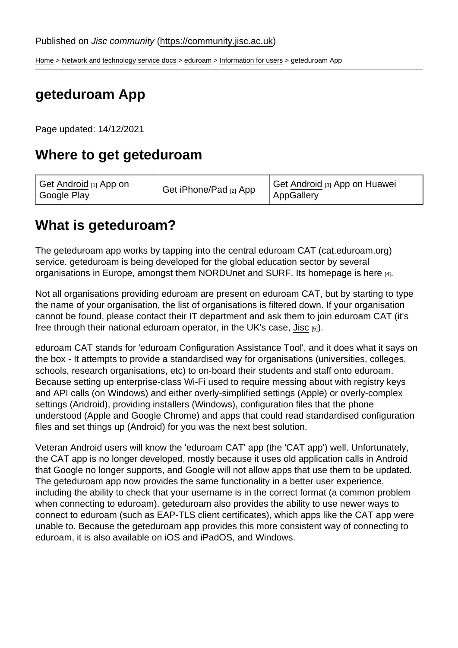[Home](https://community.jisc.ac.uk/) > [Network and technology service docs](https://community.jisc.ac.uk/library/janet-services-documentation) > [eduroam](https://community.jisc.ac.uk/library/janet-services-documentation/eduroam) > [Information for users](https://community.jisc.ac.uk/library/janet-services-documentation/information-users) > geteduroam App

# geteduroam App

Page updated: 14/12/2021

# Where to get geteduroam

| Get Android [1] App on<br>Google Play | Get iPhone/Pad [2] App | Get Android [3] App on Huawei<br>AppGallery |
|---------------------------------------|------------------------|---------------------------------------------|
|---------------------------------------|------------------------|---------------------------------------------|

#### What is geteduroam?

The geteduroam app works by tapping into the central eduroam CAT (cat.eduroam.org) service. geteduroam is being developed for the global education sector by several organisations in Europe, amongst them NORDUnet and SURF. Its homepage is [here](https://www.geteduroam.app/) [4].

Not all organisations providing eduroam are present on eduroam CAT, but by starting to type the name of your organisation, the list of organisations is filtered down. If your organisation cannot be found, please contact their IT department and ask them to join eduroam CAT (it's free through their national eduroam operator, in the UK's case, [Jisc](https://support.eduroam.uk/) [5]).

eduroam CAT stands for 'eduroam Configuration Assistance Tool', and it does what it says on the box - It attempts to provide a standardised way for organisations (universities, colleges, schools, research organisations, etc) to on-board their students and staff onto eduroam. Because setting up enterprise-class Wi-Fi used to require messing about with registry keys and API calls (on Windows) and either overly-simplified settings (Apple) or overly-complex settings (Android), providing installers (Windows), configuration files that the phone understood (Apple and Google Chrome) and apps that could read standardised configuration files and set things up (Android) for you was the next best solution.

Veteran Android users will know the 'eduroam CAT' app (the 'CAT app') well. Unfortunately, the CAT app is no longer developed, mostly because it uses old application calls in Android that Google no longer supports, and Google will not allow apps that use them to be updated. The geteduroam app now provides the same functionality in a better user experience, including the ability to check that your username is in the correct format (a common problem when connecting to eduroam). geteduroam also provides the ability to use newer ways to connect to eduroam (such as EAP-TLS client certificates), which apps like the CAT app were unable to. Because the geteduroam app provides this more consistent way of connecting to eduroam, it is also available on iOS and iPadOS, and Windows.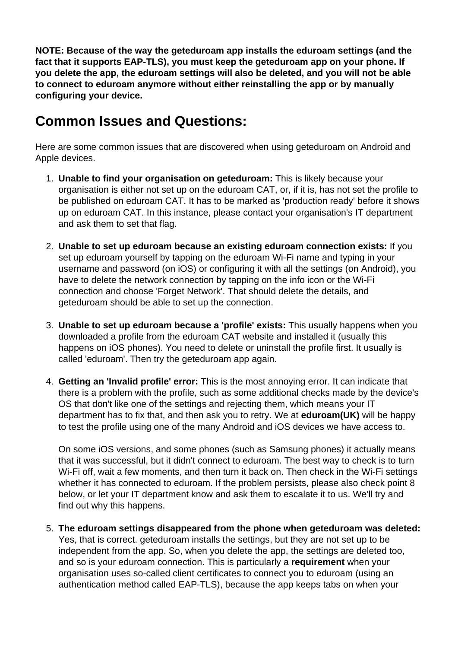**NOTE: Because of the way the geteduroam app installs the eduroam settings (and the fact that it supports EAP-TLS), you must keep the geteduroam app on your phone. If you delete the app, the eduroam settings will also be deleted, and you will not be able to connect to eduroam anymore without either reinstalling the app or by manually configuring your device.** 

# **Common Issues and Questions:**

Here are some common issues that are discovered when using geteduroam on Android and Apple devices.

- 1. **Unable to find your organisation on geteduroam:** This is likely because your organisation is either not set up on the eduroam CAT, or, if it is, has not set the profile to be published on eduroam CAT. It has to be marked as 'production ready' before it shows up on eduroam CAT. In this instance, please contact your organisation's IT department and ask them to set that flag.
- 2. **Unable to set up eduroam because an existing eduroam connection exists:** If you set up eduroam yourself by tapping on the eduroam Wi-Fi name and typing in your username and password (on iOS) or configuring it with all the settings (on Android), you have to delete the network connection by tapping on the info icon or the Wi-Fi connection and choose 'Forget Network'. That should delete the details, and geteduroam should be able to set up the connection.
- 3. **Unable to set up eduroam because a 'profile' exists:** This usually happens when you downloaded a profile from the eduroam CAT website and installed it (usually this happens on iOS phones). You need to delete or uninstall the profile first. It usually is called 'eduroam'. Then try the geteduroam app again.
- 4. **Getting an 'Invalid profile' error:** This is the most annoying error. It can indicate that there is a problem with the profile, such as some additional checks made by the device's OS that don't like one of the settings and rejecting them, which means your IT department has to fix that, and then ask you to retry. We at **eduroam(UK)** will be happy to test the profile using one of the many Android and iOS devices we have access to.

On some iOS versions, and some phones (such as Samsung phones) it actually means that it was successful, but it didn't connect to eduroam. The best way to check is to turn Wi-Fi off, wait a few moments, and then turn it back on. Then check in the Wi-Fi settings whether it has connected to eduroam. If the problem persists, please also check point 8 below, or let your IT department know and ask them to escalate it to us. We'll try and find out why this happens.

5. **The eduroam settings disappeared from the phone when geteduroam was deleted:** Yes, that is correct. geteduroam installs the settings, but they are not set up to be independent from the app. So, when you delete the app, the settings are deleted too, and so is your eduroam connection. This is particularly a **requirement** when your organisation uses so-called client certificates to connect you to eduroam (using an authentication method called EAP-TLS), because the app keeps tabs on when your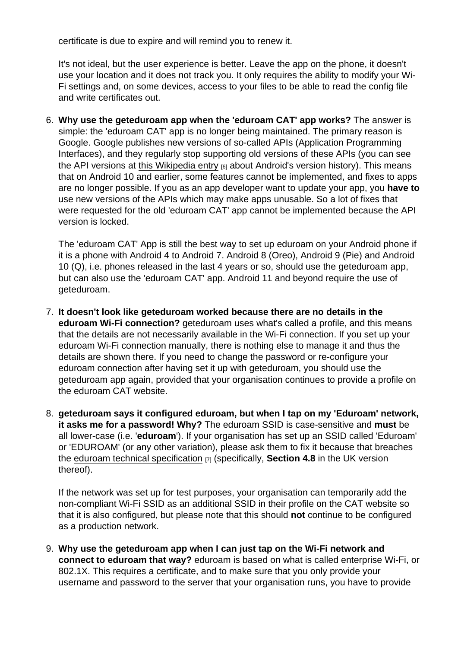certificate is due to expire and will remind you to renew it.

It's not ideal, but the user experience is better. Leave the app on the phone, it doesn't use your location and it does not track you. It only requires the ability to modify your Wi-Fi settings and, on some devices, access to your files to be able to read the config file and write certificates out.

6. Why use the geteduroam app when the 'eduroam CAT' app works? The answer is simple: the 'eduroam CAT' app is no longer being maintained. The primary reason is Google. Google publishes new versions of so-called APIs (Application Programming Interfaces), and they regularly stop supporting old versions of these APIs (you can see the API versions at [this Wikipedia entry](https://en.wikipedia.org/wiki/Android_version_history)  $[6]$  about Android's version history). This means that on Android 10 and earlier, some features cannot be implemented, and fixes to apps are no longer possible. If you as an app developer want to update your app, you have to use new versions of the APIs which may make apps unusable. So a lot of fixes that were requested for the old 'eduroam CAT' app cannot be implemented because the API version is locked.

The 'eduroam CAT' App is still the best way to set up eduroam on your Android phone if it is a phone with Android 4 to Android 7. Android 8 (Oreo), Android 9 (Pie) and Android 10 (Q), i.e. phones released in the last 4 years or so, should use the geteduroam app, but can also use the 'eduroam CAT' app. Android 11 and beyond require the use of geteduroam.

- 7. It doesn't look like geteduroam worked because there are no details in the eduroam Wi-Fi connection? geteduroam uses what's called a profile, and this means that the details are not necessarily available in the Wi-Fi connection. If you set up your eduroam Wi-Fi connection manually, there is nothing else to manage it and thus the details are shown there. If you need to change the password or re-configure your eduroam connection after having set it up with geteduroam, you should use the geteduroam app again, provided that your organisation continues to provide a profile on the eduroam CAT website.
- 8. geteduroam says it configured eduroam, but when I tap on my 'Eduroam' network, it asks me for a password! Why? The eduroam SSID is case-sensitive and must be all lower-case (i.e. 'eduroam '). If your organisation has set up an SSID called 'Eduroam' or 'EDUROAM' (or any other variation), please ask them to fix it because that breaches the [eduroam technical specification](https://community.jisc.ac.uk/library/janet-services-documentation/eduroamuk-technical-specification)  $_{[7]}$  (specifically, Section 4.8 in the UK version thereof).

If the network was set up for test purposes, your organisation can temporarily add the non-compliant Wi-Fi SSID as an additional SSID in their profile on the CAT website so that it is also configured, but please note that this should not continue to be configured as a production network.

9. Why use the geteduroam app when I can just tap on the Wi-Fi network and connect to eduroam that way? eduroam is based on what is called enterprise Wi-Fi, or 802.1X. This requires a certificate, and to make sure that you only provide your username and password to the server that your organisation runs, you have to provide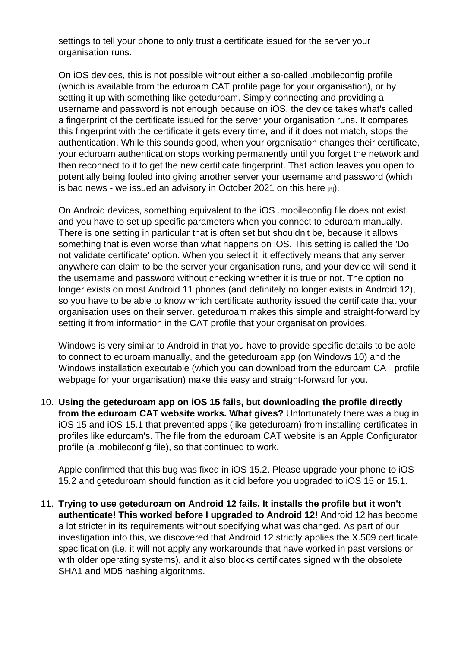settings to tell your phone to only trust a certificate issued for the server your organisation runs.

On iOS devices, this is not possible without either a so-called .mobileconfig profile (which is available from the eduroam CAT profile page for your organisation), or by setting it up with something like geteduroam. Simply connecting and providing a username and password is not enough because on iOS, the device takes what's called a fingerprint of the certificate issued for the server your organisation runs. It compares this fingerprint with the certificate it gets every time, and if it does not match, stops the authentication. While this sounds good, when your organisation changes their certificate, your eduroam authentication stops working permanently until you forget the network and then reconnect to it to get the new certificate fingerprint. That action leaves you open to potentially being fooled into giving another server your username and password (which is bad news - we issued an advisory in October 2021 on this [here](https://community.jisc.ac.uk/library/network-and-technology-service-docs/2021-10-advisory-addressing-claims-eduroam)  $_{[8]}$ ).

On Android devices, something equivalent to the iOS .mobileconfig file does not exist, and you have to set up specific parameters when you connect to eduroam manually. There is one setting in particular that is often set but shouldn't be, because it allows something that is even worse than what happens on iOS. This setting is called the 'Do not validate certificate' option. When you select it, it effectively means that any server anywhere can claim to be the server your organisation runs, and your device will send it the username and password without checking whether it is true or not. The option no longer exists on most Android 11 phones (and definitely no longer exists in Android 12), so you have to be able to know which certificate authority issued the certificate that your organisation uses on their server. geteduroam makes this simple and straight-forward by setting it from information in the CAT profile that your organisation provides.

Windows is very similar to Android in that you have to provide specific details to be able to connect to eduroam manually, and the geteduroam app (on Windows 10) and the Windows installation executable (which you can download from the eduroam CAT profile webpage for your organisation) make this easy and straight-forward for you.

10. Using the geteduroam app on iOS 15 fails, but downloading the profile directly from the eduroam CAT website works. What gives? Unfortunately there was a bug in iOS 15 and iOS 15.1 that prevented apps (like geteduroam) from installing certificates in profiles like eduroam's. The file from the eduroam CAT website is an Apple Configurator profile (a .mobileconfig file), so that continued to work.

Apple confirmed that this bug was fixed in iOS 15.2. Please upgrade your phone to iOS 15.2 and geteduroam should function as it did before you upgraded to iOS 15 or 15.1.

11. Trying to use geteduroam on Android 12 fails. It installs the profile but it won't authenticate! This worked before I upgraded to Android 12! Android 12 has become a lot stricter in its requirements without specifying what was changed. As part of our investigation into this, we discovered that Android 12 strictly applies the X.509 certificate specification (i.e. it will not apply any workarounds that have worked in past versions or with older operating systems), and it also blocks certificates signed with the obsolete SHA1 and MD5 hashing algorithms.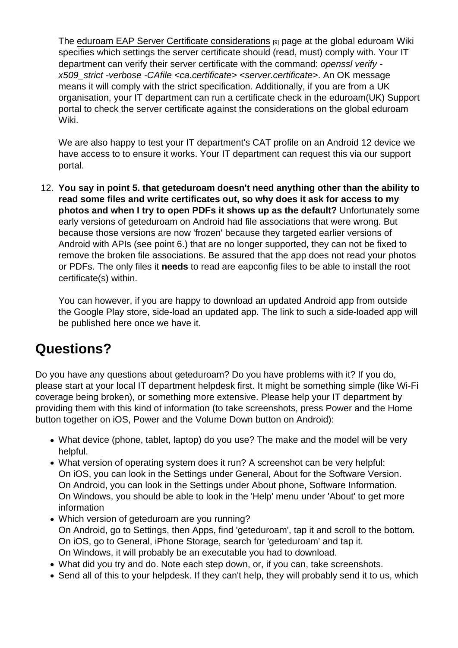The [eduroam EAP Server Certificate considerations](https://wiki.geant.org/display/H2eduroam/EAP+Server+Certificate+considerations) [9] page at the global eduroam Wiki specifies which settings the server certificate should (read, must) comply with. Your IT department can verify their server certificate with the command: openssl verify x509\_strict -verbose -CAfile <ca.certificate> <server.certificate>. An OK message means it will comply with the strict specification. Additionally, if you are from a UK organisation, your IT department can run a certificate check in the eduroam(UK) Support portal to check the server certificate against the considerations on the global eduroam Wiki.

We are also happy to test your IT department's CAT profile on an Android 12 device we have access to to ensure it works. Your IT department can request this via our support portal.

12. You say in point 5. that geteduroam doesn't need anything other than the ability to read some files and write certificates out, so why does it ask for access to my photos and when I try to open PDFs it shows up as the default? Unfortunately some early versions of geteduroam on Android had file associations that were wrong. But because those versions are now 'frozen' because they targeted earlier versions of Android with APIs (see point 6.) that are no longer supported, they can not be fixed to remove the broken file associations. Be assured that the app does not read your photos or PDFs. The only files it needs to read are eapconfig files to be able to install the root certificate(s) within.

You can however, if you are happy to download an updated Android app from outside the Google Play store, side-load an updated app. The link to such a side-loaded app will be published here once we have it.

#### Questions?

Do you have any questions about geteduroam? Do you have problems with it? If you do, please start at your local IT department helpdesk first. It might be something simple (like Wi-Fi coverage being broken), or something more extensive. Please help your IT department by providing them with this kind of information (to take screenshots, press Power and the Home button together on iOS, Power and the Volume Down button on Android):

- What device (phone, tablet, laptop) do you use? The make and the model will be very helpful.
- What version of operating system does it run? A screenshot can be very helpful: On iOS, you can look in the Settings under General, About for the Software Version. On Android, you can look in the Settings under About phone, Software Information. On Windows, you should be able to look in the 'Help' menu under 'About' to get more information
- Which version of geteduroam are you running? On Android, go to Settings, then Apps, find 'geteduroam', tap it and scroll to the bottom. On iOS, go to General, iPhone Storage, search for 'geteduroam' and tap it. On Windows, it will probably be an executable you had to download.
- What did you try and do. Note each step down, or, if you can, take screenshots.
- Send all of this to your helpdesk. If they can't help, they will probably send it to us, which